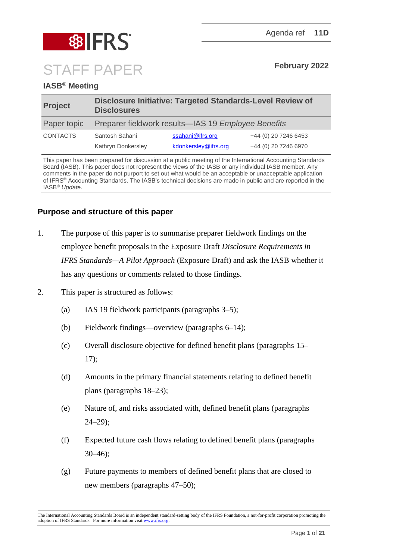

# **IASB® Meeting**

| <b>Project</b>  | Disclosure Initiative: Targeted Standards-Level Review of<br><b>Disclosures</b> |                      |                      |
|-----------------|---------------------------------------------------------------------------------|----------------------|----------------------|
| Paper topic     | Preparer fieldwork results—IAS 19 Employee Benefits                             |                      |                      |
| <b>CONTACTS</b> | Santosh Sahani                                                                  | ssahani@ifrs.org     | +44 (0) 20 7246 6453 |
|                 | Kathryn Donkersley                                                              | kdonkersley@ifrs.org | +44 (0) 20 7246 6970 |

This paper has been prepared for discussion at a public meeting of the International Accounting Standards Board (IASB). This paper does not represent the views of the IASB or any individual IASB member. Any comments in the paper do not purport to set out what would be an acceptable or unacceptable application of IFRS® Accounting Standards. The IASB's technical decisions are made in public and are reported in the IASB® *Update*.

# **Purpose and structure of this paper**

- 1. The purpose of this paper is to summarise preparer fieldwork findings on the employee benefit proposals in the Exposure Draft *Disclosure Requirements in IFRS Standards—A Pilot Approach* (Exposure Draft) and ask the IASB whether it has any questions or comments related to those findings.
- 2. This paper is structured as follows:
	- (a) IAS 19 fieldwork participants (paragraphs [3](#page-1-0)[–5\)](#page-2-0);
	- (b) Fieldwork findings—overview (paragraphs [6–](#page-2-1)[14\)](#page-5-0);
	- (c) Overall disclosure objective for defined benefit plans (paragraphs [15–](#page-5-1) [17\)](#page-5-2);
	- (d) Amounts in the primary financial statements relating to defined benefit plans (paragraphs [18–](#page-6-0)[23\)](#page-7-0);
	- (e) Nature of, and risks associated with, defined benefit plans (paragraphs [24](#page-8-0)[–29\)](#page-9-0);
	- (f) Expected future cash flows relating to defined benefit plans (paragraphs [30](#page-10-0)[–46\)](#page-14-0);
	- (g) Future payments to members of defined benefit plans that are closed to new members (paragraphs [47](#page-14-1)[–50\)](#page-15-0);

The International Accounting Standards Board is an independent standard-setting body of the IFRS Foundation, a not-for-profit corporation promoting the adoption of IFRS Standards. For more information visi[t www.ifrs.org.](http://www.ifrs.org/)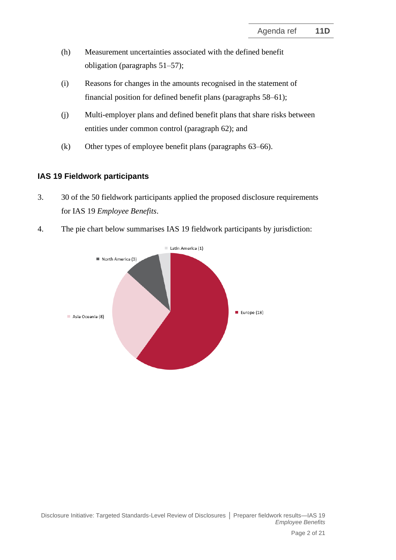- (h) Measurement uncertainties associated with the defined benefit obligation (paragraphs [51–](#page-15-1)[57\)](#page-17-0);
- (i) Reasons for changes in the amounts recognised in the statement of financial position for defined benefit plans (paragraphs [58](#page-17-1)[–61\)](#page-18-0);
- (j) Multi-employer plans and defined benefit plans that share risks between entities under common control (paragraph [62\)](#page-19-0); and
- (k) Other types of employee benefit plans (paragraphs [63](#page-19-1)[–66\)](#page-20-0).

# **IAS 19 Fieldwork participants**

- <span id="page-1-0"></span>3. 30 of the 50 fieldwork participants applied the proposed disclosure requirements for IAS 19 *Employee Benefits*.
- 4. The pie chart below summarises IAS 19 fieldwork participants by jurisdiction:

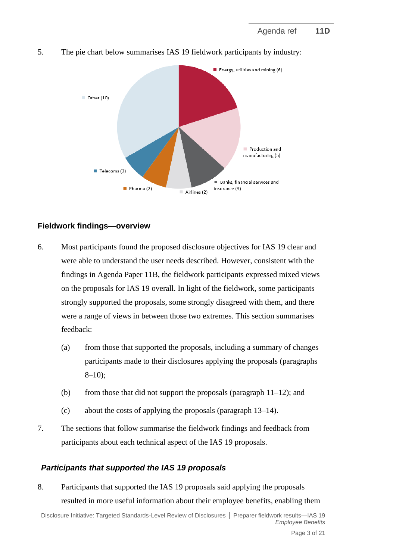

<span id="page-2-0"></span>5. The pie chart below summarises IAS 19 fieldwork participants by industry:

# **Fieldwork findings—overview**

- <span id="page-2-1"></span>6. Most participants found the proposed disclosure objectives for IAS 19 clear and were able to understand the user needs described. However, consistent with the findings in Agenda Paper 11B, the fieldwork participants expressed mixed views on the proposals for IAS 19 overall. In light of the fieldwork, some participants strongly supported the proposals, some strongly disagreed with them, and there were a range of views in between those two extremes. This section summarises feedback:
	- (a) from those that supported the proposals, including a summary of changes participants made to their disclosures applying the proposals (paragraphs  $8-10$  $8-10$ :
	- (b) from those that did not support the proposals (paragraph  $11-12$ ); and
	- (c) about the costs of applying the proposals (paragraph [13](#page-4-2)[–14\)](#page-5-0).
- 7. The sections that follow summarise the fieldwork findings and feedback from participants about each technical aspect of the IAS 19 proposals.

# *Participants that supported the IAS 19 proposals*

<span id="page-2-2"></span>8. Participants that supported the IAS 19 proposals said applying the proposals resulted in more useful information about their employee benefits, enabling them

Disclosure Initiative: Targeted Standards-Level Review of Disclosures **│** Preparer fieldwork results—IAS 19 *Employee Benefits*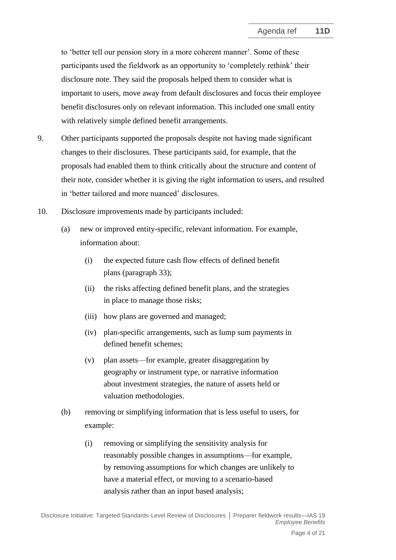to 'better tell our pension story in a more coherent manner'. Some of these participants used the fieldwork as an opportunity to 'completely rethink' their disclosure note. They said the proposals helped them to consider what is important to users, move away from default disclosures and focus their employee benefit disclosures only on relevant information. This included one small entity with relatively simple defined benefit arrangements.

- 9. Other participants supported the proposals despite not having made significant changes to their disclosures. These participants said, for example, that the proposals had enabled them to think critically about the structure and content of their note, consider whether it is giving the right information to users, and resulted in 'better tailored and more nuanced' disclosures.
- <span id="page-3-0"></span>10. Disclosure improvements made by participants included:
	- (a) new or improved entity-specific, relevant information. For example, information about:
		- (i) the expected future cash flow effects of defined benefit plans (paragraph [33\)](#page-11-0);
		- (ii) the risks affecting defined benefit plans, and the strategies in place to manage those risks;
		- (iii) how plans are governed and managed;
		- (iv) plan-specific arrangements, such as lump sum payments in defined benefit schemes;
		- (v) plan assets—for example, greater disaggregation by geography or instrument type, or narrative information about investment strategies, the nature of assets held or valuation methodologies.
	- (b) removing or simplifying information that is less useful to users, for example:
		- (i) removing or simplifying the sensitivity analysis for reasonably possible changes in assumptions—for example, by removing assumptions for which changes are unlikely to have a material effect, or moving to a scenario-based analysis rather than an input based analysis;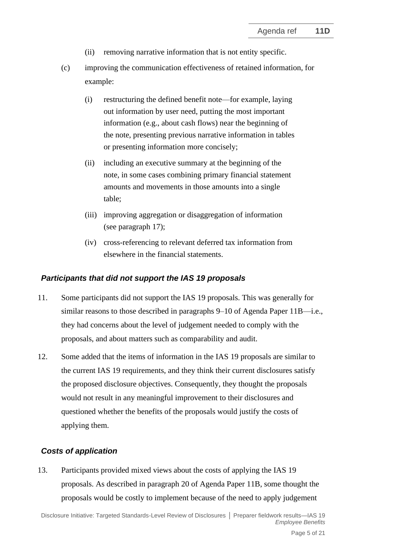- (ii) removing narrative information that is not entity specific.
- (c) improving the communication effectiveness of retained information, for example:
	- (i) restructuring the defined benefit note—for example, laying out information by user need, putting the most important information (e.g., about cash flows) near the beginning of the note, presenting previous narrative information in tables or presenting information more concisely;
	- (ii) including an executive summary at the beginning of the note, in some cases combining primary financial statement amounts and movements in those amounts into a single table;
	- (iii) improving aggregation or disaggregation of information (see paragraph [17\)](#page-5-2);
	- (iv) cross-referencing to relevant deferred tax information from elsewhere in the financial statements.

### *Participants that did not support the IAS 19 proposals*

- <span id="page-4-0"></span>11. Some participants did not support the IAS 19 proposals. This was generally for similar reasons to those described in paragraphs 9–10 of Agenda Paper 11B—i.e., they had concerns about the level of judgement needed to comply with the proposals, and about matters such as comparability and audit.
- <span id="page-4-1"></span>12. Some added that the items of information in the IAS 19 proposals are similar to the current IAS 19 requirements, and they think their current disclosures satisfy the proposed disclosure objectives. Consequently, they thought the proposals would not result in any meaningful improvement to their disclosures and questioned whether the benefits of the proposals would justify the costs of applying them.

### *Costs of application*

<span id="page-4-2"></span>13. Participants provided mixed views about the costs of applying the IAS 19 proposals. As described in paragraph 20 of Agenda Paper 11B, some thought the proposals would be costly to implement because of the need to apply judgement

Disclosure Initiative: Targeted Standards-Level Review of Disclosures **│** Preparer fieldwork results—IAS 19 *Employee Benefits*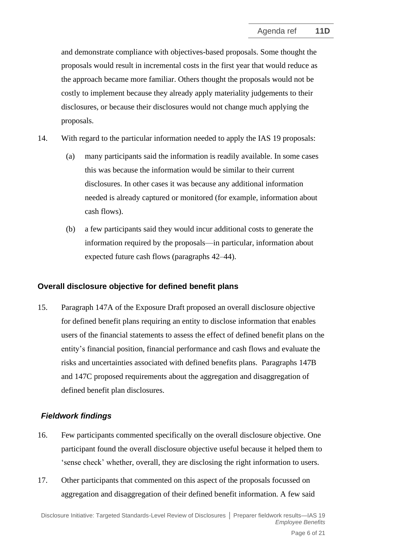and demonstrate compliance with objectives-based proposals. Some thought the proposals would result in incremental costs in the first year that would reduce as the approach became more familiar. Others thought the proposals would not be costly to implement because they already apply materiality judgements to their disclosures, or because their disclosures would not change much applying the proposals.

- <span id="page-5-0"></span>14. With regard to the particular information needed to apply the IAS 19 proposals:
	- (a) many participants said the information is readily available. In some cases this was because the information would be similar to their current disclosures. In other cases it was because any additional information needed is already captured or monitored (for example, information about cash flows).
	- (b) a few participants said they would incur additional costs to generate the information required by the proposals—in particular, information about expected future cash flows (paragraphs [42–](#page-13-0)[44\)](#page-13-1).

#### **Overall disclosure objective for defined benefit plans**

<span id="page-5-1"></span>15. Paragraph 147A of the Exposure Draft proposed an overall disclosure objective for defined benefit plans requiring an entity to disclose information that enables users of the financial statements to assess the effect of defined benefit plans on the entity's financial position, financial performance and cash flows and evaluate the risks and uncertainties associated with defined benefits plans. Paragraphs 147B and 147C proposed requirements about the aggregation and disaggregation of defined benefit plan disclosures.

### *Fieldwork findings*

- 16. Few participants commented specifically on the overall disclosure objective. One participant found the overall disclosure objective useful because it helped them to 'sense check' whether, overall, they are disclosing the right information to users.
- <span id="page-5-2"></span>17. Other participants that commented on this aspect of the proposals focussed on aggregation and disaggregation of their defined benefit information. A few said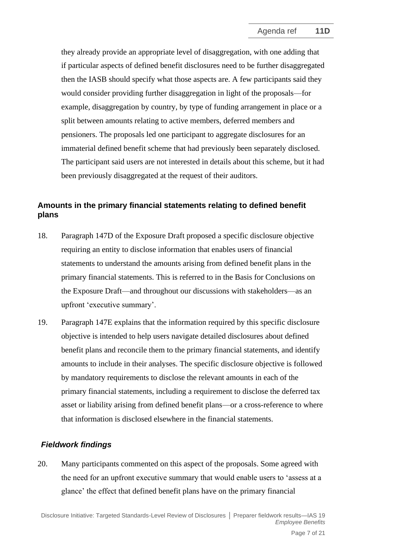they already provide an appropriate level of disaggregation, with one adding that if particular aspects of defined benefit disclosures need to be further disaggregated then the IASB should specify what those aspects are. A few participants said they would consider providing further disaggregation in light of the proposals—for example, disaggregation by country, by type of funding arrangement in place or a split between amounts relating to active members, deferred members and pensioners. The proposals led one participant to aggregate disclosures for an immaterial defined benefit scheme that had previously been separately disclosed. The participant said users are not interested in details about this scheme, but it had been previously disaggregated at the request of their auditors.

### **Amounts in the primary financial statements relating to defined benefit plans**

- <span id="page-6-0"></span>18. Paragraph 147D of the Exposure Draft proposed a specific disclosure objective requiring an entity to disclose information that enables users of financial statements to understand the amounts arising from defined benefit plans in the primary financial statements. This is referred to in the Basis for Conclusions on the Exposure Draft—and throughout our discussions with stakeholders—as an upfront 'executive summary'.
- 19. Paragraph 147E explains that the information required by this specific disclosure objective is intended to help users navigate detailed disclosures about defined benefit plans and reconcile them to the primary financial statements, and identify amounts to include in their analyses. The specific disclosure objective is followed by mandatory requirements to disclose the relevant amounts in each of the primary financial statements, including a requirement to disclose the deferred tax asset or liability arising from defined benefit plans—or a cross-reference to where that information is disclosed elsewhere in the financial statements.

# *Fieldwork findings*

<span id="page-6-1"></span>20. Many participants commented on this aspect of the proposals. Some agreed with the need for an upfront executive summary that would enable users to 'assess at a glance' the effect that defined benefit plans have on the primary financial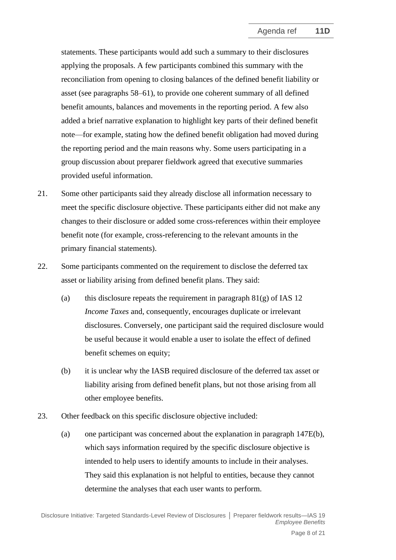statements. These participants would add such a summary to their disclosures applying the proposals. A few participants combined this summary with the reconciliation from opening to closing balances of the defined benefit liability or asset (see paragraphs [58–](#page-17-1)[61\)](#page-18-0), to provide one coherent summary of all defined benefit amounts, balances and movements in the reporting period. A few also added a brief narrative explanation to highlight key parts of their defined benefit note—for example, stating how the defined benefit obligation had moved during the reporting period and the main reasons why. Some users participating in a group discussion about preparer fieldwork agreed that executive summaries provided useful information.

- 21. Some other participants said they already disclose all information necessary to meet the specific disclosure objective. These participants either did not make any changes to their disclosure or added some cross-references within their employee benefit note (for example, cross-referencing to the relevant amounts in the primary financial statements).
- 22. Some participants commented on the requirement to disclose the deferred tax asset or liability arising from defined benefit plans. They said:
	- (a) this disclosure repeats the requirement in paragraph  $81(g)$  of IAS 12 *Income Taxes* and, consequently, encourages duplicate or irrelevant disclosures. Conversely, one participant said the required disclosure would be useful because it would enable a user to isolate the effect of defined benefit schemes on equity;
	- (b) it is unclear why the IASB required disclosure of the deferred tax asset or liability arising from defined benefit plans, but not those arising from all other employee benefits.
- <span id="page-7-0"></span>23. Other feedback on this specific disclosure objective included:
	- (a) one participant was concerned about the explanation in paragraph 147E(b), which says information required by the specific disclosure objective is intended to help users to identify amounts to include in their analyses. They said this explanation is not helpful to entities, because they cannot determine the analyses that each user wants to perform.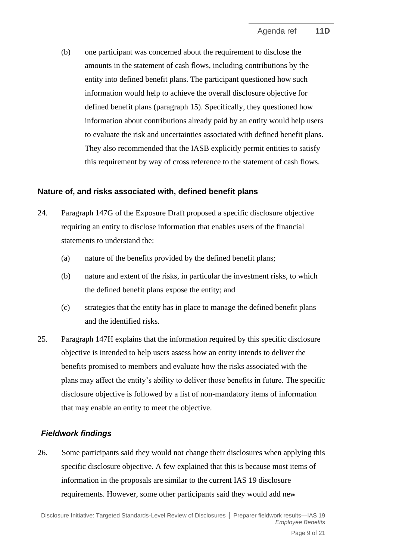(b) one participant was concerned about the requirement to disclose the amounts in the statement of cash flows, including contributions by the entity into defined benefit plans. The participant questioned how such information would help to achieve the overall disclosure objective for defined benefit plans (paragraph [15\)](#page-5-1). Specifically, they questioned how information about contributions already paid by an entity would help users to evaluate the risk and uncertainties associated with defined benefit plans. They also recommended that the IASB explicitly permit entities to satisfy this requirement by way of cross reference to the statement of cash flows.

### **Nature of, and risks associated with, defined benefit plans**

- <span id="page-8-0"></span>24. Paragraph 147G of the Exposure Draft proposed a specific disclosure objective requiring an entity to disclose information that enables users of the financial statements to understand the:
	- (a) nature of the benefits provided by the defined benefit plans;
	- (b) nature and extent of the risks, in particular the investment risks, to which the defined benefit plans expose the entity; and
	- (c) strategies that the entity has in place to manage the defined benefit plans and the identified risks.
- 25. Paragraph 147H explains that the information required by this specific disclosure objective is intended to help users assess how an entity intends to deliver the benefits promised to members and evaluate how the risks associated with the plans may affect the entity's ability to deliver those benefits in future. The specific disclosure objective is followed by a list of non-mandatory items of information that may enable an entity to meet the objective.

# *Fieldwork findings*

26. Some participants said they would not change their disclosures when applying this specific disclosure objective. A few explained that this is because most items of information in the proposals are similar to the current IAS 19 disclosure requirements. However, some other participants said they would add new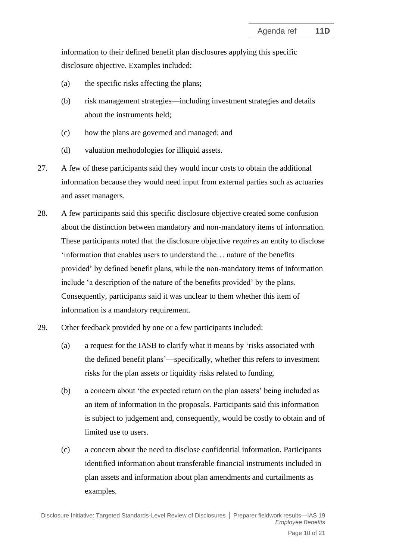information to their defined benefit plan disclosures applying this specific disclosure objective. Examples included:

- (a) the specific risks affecting the plans;
- (b) risk management strategies—including investment strategies and details about the instruments held;
- (c) how the plans are governed and managed; and
- (d) valuation methodologies for illiquid assets.
- 27. A few of these participants said they would incur costs to obtain the additional information because they would need input from external parties such as actuaries and asset managers.
- 28. A few participants said this specific disclosure objective created some confusion about the distinction between mandatory and non-mandatory items of information. These participants noted that the disclosure objective *requires* an entity to disclose 'information that enables users to understand the… nature of the benefits provided' by defined benefit plans, while the non-mandatory items of information include 'a description of the nature of the benefits provided' by the plans. Consequently, participants said it was unclear to them whether this item of information is a mandatory requirement.
- <span id="page-9-0"></span>29. Other feedback provided by one or a few participants included:
	- (a) a request for the IASB to clarify what it means by 'risks associated with the defined benefit plans'—specifically, whether this refers to investment risks for the plan assets or liquidity risks related to funding.
	- (b) a concern about 'the expected return on the plan assets' being included as an item of information in the proposals. Participants said this information is subject to judgement and, consequently, would be costly to obtain and of limited use to users.
	- (c) a concern about the need to disclose confidential information. Participants identified information about transferable financial instruments included in plan assets and information about plan amendments and curtailments as examples.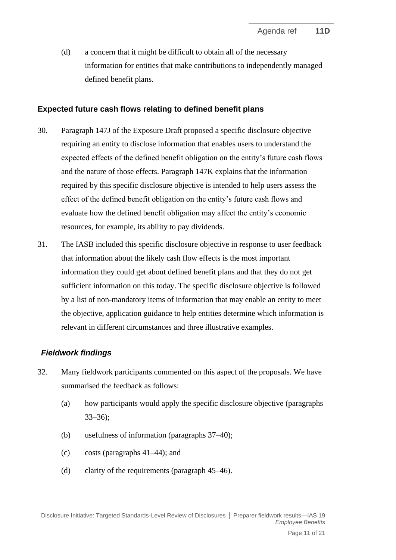(d) a concern that it might be difficult to obtain all of the necessary information for entities that make contributions to independently managed defined benefit plans.

### **Expected future cash flows relating to defined benefit plans**

- <span id="page-10-0"></span>30. Paragraph 147J of the Exposure Draft proposed a specific disclosure objective requiring an entity to disclose information that enables users to understand the expected effects of the defined benefit obligation on the entity's future cash flows and the nature of those effects. Paragraph 147K explains that the information required by this specific disclosure objective is intended to help users assess the effect of the defined benefit obligation on the entity's future cash flows and evaluate how the defined benefit obligation may affect the entity's economic resources, for example, its ability to pay dividends.
- 31. The IASB included this specific disclosure objective in response to user feedback that information about the likely cash flow effects is the most important information they could get about defined benefit plans and that they do not get sufficient information on this today. The specific disclosure objective is followed by a list of non-mandatory items of information that may enable an entity to meet the objective, application guidance to help entities determine which information is relevant in different circumstances and three illustrative examples.

# *Fieldwork findings*

- 32. Many fieldwork participants commented on this aspect of the proposals. We have summarised the feedback as follows:
	- (a) how participants would apply the specific disclosure objective (paragraphs [33](#page-11-0)[–36\)](#page-11-1);
	- (b) usefulness of information (paragraphs [37–](#page-12-0)[40\)](#page-13-2);
	- (c) costs (paragraphs [41](#page-13-3)[–44\)](#page-13-1); and
	- (d) clarity of the requirements (paragraph [45–](#page-13-4)[46\)](#page-14-0).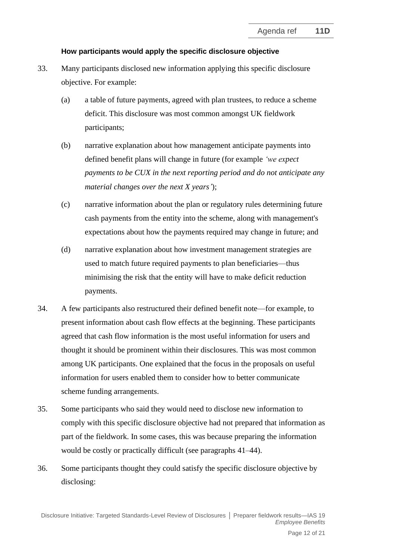### **How participants would apply the specific disclosure objective**

- <span id="page-11-0"></span>33. Many participants disclosed new information applying this specific disclosure objective. For example:
	- (a) a table of future payments, agreed with plan trustees, to reduce a scheme deficit. This disclosure was most common amongst UK fieldwork participants;
	- (b) narrative explanation about how management anticipate payments into defined benefit plans will change in future (for example *'we expect payments to be CUX in the next reporting period and do not anticipate any material changes over the next X years'*);
	- (c) narrative information about the plan or regulatory rules determining future cash payments from the entity into the scheme, along with management's expectations about how the payments required may change in future; and
	- (d) narrative explanation about how investment management strategies are used to match future required payments to plan beneficiaries—thus minimising the risk that the entity will have to make deficit reduction payments.
- 34. A few participants also restructured their defined benefit note—for example, to present information about cash flow effects at the beginning. These participants agreed that cash flow information is the most useful information for users and thought it should be prominent within their disclosures. This was most common among UK participants. One explained that the focus in the proposals on useful information for users enabled them to consider how to better communicate scheme funding arrangements.
- 35. Some participants who said they would need to disclose new information to comply with this specific disclosure objective had not prepared that information as part of the fieldwork. In some cases, this was because preparing the information would be costly or practically difficult (see paragraphs [41–](#page-13-3)[44\)](#page-13-1).
- <span id="page-11-1"></span>36. Some participants thought they could satisfy the specific disclosure objective by disclosing: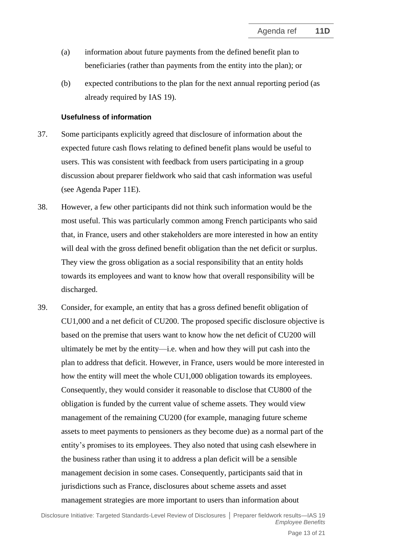- (a) information about future payments from the defined benefit plan to beneficiaries (rather than payments from the entity into the plan); or
- (b) expected contributions to the plan for the next annual reporting period (as already required by IAS 19).

#### **Usefulness of information**

- <span id="page-12-0"></span>37. Some participants explicitly agreed that disclosure of information about the expected future cash flows relating to defined benefit plans would be useful to users. This was consistent with feedback from users participating in a group discussion about preparer fieldwork who said that cash information was useful (see Agenda Paper 11E).
- 38. However, a few other participants did not think such information would be the most useful. This was particularly common among French participants who said that, in France, users and other stakeholders are more interested in how an entity will deal with the gross defined benefit obligation than the net deficit or surplus. They view the gross obligation as a social responsibility that an entity holds towards its employees and want to know how that overall responsibility will be discharged.
- 39. Consider, for example, an entity that has a gross defined benefit obligation of CU1,000 and a net deficit of CU200. The proposed specific disclosure objective is based on the premise that users want to know how the net deficit of CU200 will ultimately be met by the entity—i.e. when and how they will put cash into the plan to address that deficit. However, in France, users would be more interested in how the entity will meet the whole CU1,000 obligation towards its employees. Consequently, they would consider it reasonable to disclose that CU800 of the obligation is funded by the current value of scheme assets. They would view management of the remaining CU200 (for example, managing future scheme assets to meet payments to pensioners as they become due) as a normal part of the entity's promises to its employees. They also noted that using cash elsewhere in the business rather than using it to address a plan deficit will be a sensible management decision in some cases. Consequently, participants said that in jurisdictions such as France, disclosures about scheme assets and asset management strategies are more important to users than information about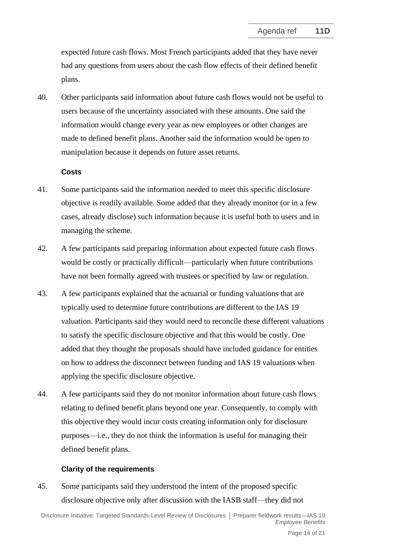expected future cash flows. Most French participants added that they have never had any questions from users about the cash flow effects of their defined benefit plans.

<span id="page-13-2"></span>40. Other participants said information about future cash flows would not be useful to users because of the uncertainty associated with these amounts. One said the information would change every year as new employees or other changes are made to defined benefit plans. Another said the information would be open to manipulation because it depends on future asset returns.

#### **Costs**

- <span id="page-13-3"></span>41. Some participants said the information needed to meet this specific disclosure objective is readily available. Some added that they already monitor (or in a few cases, already disclose) such information because it is useful both to users and in managing the scheme.
- <span id="page-13-0"></span>42. A few participants said preparing information about expected future cash flows would be costly or practically difficult—particularly when future contributions have not been formally agreed with trustees or specified by law or regulation.
- 43. A few participants explained that the actuarial or funding valuations that are typically used to determine future contributions are different to the IAS 19 valuation. Participants said they would need to reconcile these different valuations to satisfy the specific disclosure objective and that this would be costly. One added that they thought the proposals should have included guidance for entities on how to address the disconnect between funding and IAS 19 valuations when applying the specific disclosure objective.
- <span id="page-13-1"></span>44. A few participants said they do not monitor information about future cash flows relating to defined benefit plans beyond one year. Consequently, to comply with this objective they would incur costs creating information only for disclosure purposes—i.e., they do not think the information is useful for managing their defined benefit plans.

### **Clarity of the requirements**

<span id="page-13-4"></span>45. Some participants said they understood the intent of the proposed specific disclosure objective only after discussion with the IASB staff—they did not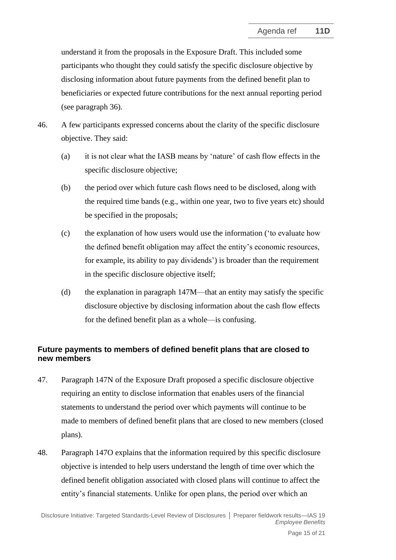understand it from the proposals in the Exposure Draft. This included some participants who thought they could satisfy the specific disclosure objective by disclosing information about future payments from the defined benefit plan to beneficiaries or expected future contributions for the next annual reporting period (see paragraph [36\)](#page-11-1).

- <span id="page-14-0"></span>46. A few participants expressed concerns about the clarity of the specific disclosure objective. They said:
	- (a) it is not clear what the IASB means by 'nature' of cash flow effects in the specific disclosure objective;
	- (b) the period over which future cash flows need to be disclosed, along with the required time bands (e.g., within one year, two to five years etc) should be specified in the proposals;
	- (c) the explanation of how users would use the information ('to evaluate how the defined benefit obligation may affect the entity's economic resources, for example, its ability to pay dividends') is broader than the requirement in the specific disclosure objective itself;
	- (d) the explanation in paragraph 147M—that an entity may satisfy the specific disclosure objective by disclosing information about the cash flow effects for the defined benefit plan as a whole—is confusing.

# **Future payments to members of defined benefit plans that are closed to new members**

- <span id="page-14-1"></span>47. Paragraph 147N of the Exposure Draft proposed a specific disclosure objective requiring an entity to disclose information that enables users of the financial statements to understand the period over which payments will continue to be made to members of defined benefit plans that are closed to new members (closed plans).
- 48. Paragraph 147O explains that the information required by this specific disclosure objective is intended to help users understand the length of time over which the defined benefit obligation associated with closed plans will continue to affect the entity's financial statements. Unlike for open plans, the period over which an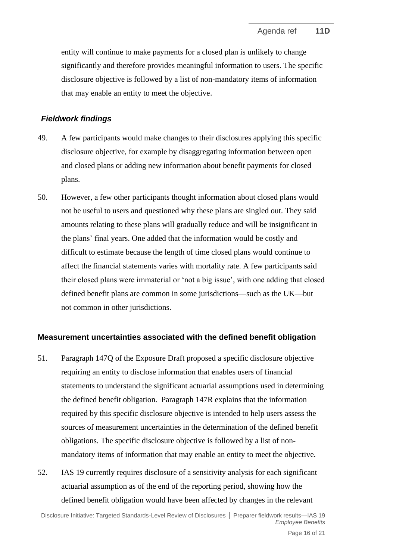entity will continue to make payments for a closed plan is unlikely to change significantly and therefore provides meaningful information to users. The specific disclosure objective is followed by a list of non-mandatory items of information that may enable an entity to meet the objective.

#### *Fieldwork findings*

- 49. A few participants would make changes to their disclosures applying this specific disclosure objective, for example by disaggregating information between open and closed plans or adding new information about benefit payments for closed plans.
- <span id="page-15-0"></span>50. However, a few other participants thought information about closed plans would not be useful to users and questioned why these plans are singled out. They said amounts relating to these plans will gradually reduce and will be insignificant in the plans' final years. One added that the information would be costly and difficult to estimate because the length of time closed plans would continue to affect the financial statements varies with mortality rate. A few participants said their closed plans were immaterial or 'not a big issue', with one adding that closed defined benefit plans are common in some jurisdictions—such as the UK—but not common in other jurisdictions.

### **Measurement uncertainties associated with the defined benefit obligation**

- 51. Paragraph 147Q of the Exposure Draft proposed a specific disclosure objective requiring an entity to disclose information that enables users of financial statements to understand the significant actuarial assumptions used in determining the defined benefit obligation. Paragraph 147R explains that the information required by this specific disclosure objective is intended to help users assess the sources of measurement uncertainties in the determination of the defined benefit obligations. The specific disclosure objective is followed by a list of nonmandatory items of information that may enable an entity to meet the objective.
- <span id="page-15-1"></span>52. IAS 19 currently requires disclosure of a sensitivity analysis for each significant actuarial assumption as of the end of the reporting period, showing how the defined benefit obligation would have been affected by changes in the relevant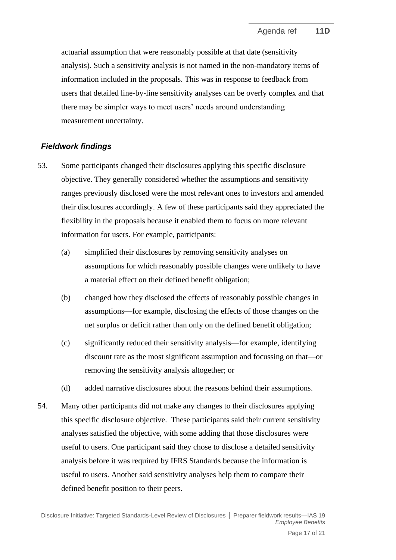actuarial assumption that were reasonably possible at that date (sensitivity analysis). Such a sensitivity analysis is not named in the non-mandatory items of information included in the proposals. This was in response to feedback from users that detailed line-by-line sensitivity analyses can be overly complex and that there may be simpler ways to meet users' needs around understanding measurement uncertainty.

# *Fieldwork findings*

- 53. Some participants changed their disclosures applying this specific disclosure objective. They generally considered whether the assumptions and sensitivity ranges previously disclosed were the most relevant ones to investors and amended their disclosures accordingly. A few of these participants said they appreciated the flexibility in the proposals because it enabled them to focus on more relevant information for users. For example, participants:
	- (a) simplified their disclosures by removing sensitivity analyses on assumptions for which reasonably possible changes were unlikely to have a material effect on their defined benefit obligation;
	- (b) changed how they disclosed the effects of reasonably possible changes in assumptions—for example, disclosing the effects of those changes on the net surplus or deficit rather than only on the defined benefit obligation;
	- (c) significantly reduced their sensitivity analysis—for example, identifying discount rate as the most significant assumption and focussing on that—or removing the sensitivity analysis altogether; or
	- (d) added narrative disclosures about the reasons behind their assumptions.
- 54. Many other participants did not make any changes to their disclosures applying this specific disclosure objective. These participants said their current sensitivity analyses satisfied the objective, with some adding that those disclosures were useful to users. One participant said they chose to disclose a detailed sensitivity analysis before it was required by IFRS Standards because the information is useful to users. Another said sensitivity analyses help them to compare their defined benefit position to their peers.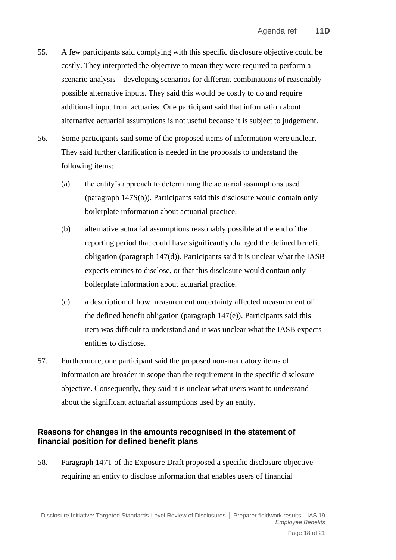- 55. A few participants said complying with this specific disclosure objective could be costly. They interpreted the objective to mean they were required to perform a scenario analysis—developing scenarios for different combinations of reasonably possible alternative inputs. They said this would be costly to do and require additional input from actuaries. One participant said that information about alternative actuarial assumptions is not useful because it is subject to judgement.
- 56. Some participants said some of the proposed items of information were unclear. They said further clarification is needed in the proposals to understand the following items:
	- (a) the entity's approach to determining the actuarial assumptions used (paragraph 147S(b)). Participants said this disclosure would contain only boilerplate information about actuarial practice.
	- (b) alternative actuarial assumptions reasonably possible at the end of the reporting period that could have significantly changed the defined benefit obligation (paragraph 147(d)). Participants said it is unclear what the IASB expects entities to disclose, or that this disclosure would contain only boilerplate information about actuarial practice.
	- (c) a description of how measurement uncertainty affected measurement of the defined benefit obligation (paragraph 147(e)). Participants said this item was difficult to understand and it was unclear what the IASB expects entities to disclose.
- 57. Furthermore, one participant said the proposed non-mandatory items of information are broader in scope than the requirement in the specific disclosure objective. Consequently, they said it is unclear what users want to understand about the significant actuarial assumptions used by an entity.

### <span id="page-17-0"></span>**Reasons for changes in the amounts recognised in the statement of financial position for defined benefit plans**

<span id="page-17-1"></span>58. Paragraph 147T of the Exposure Draft proposed a specific disclosure objective requiring an entity to disclose information that enables users of financial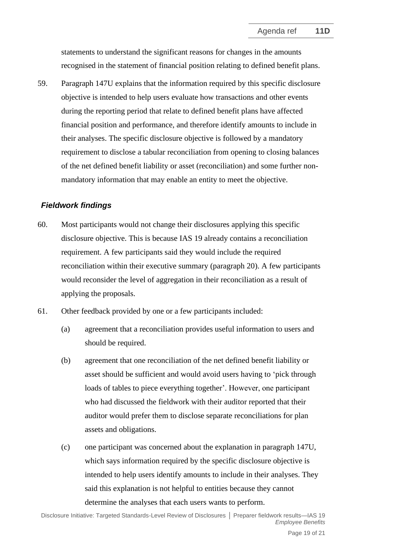statements to understand the significant reasons for changes in the amounts recognised in the statement of financial position relating to defined benefit plans.

59. Paragraph 147U explains that the information required by this specific disclosure objective is intended to help users evaluate how transactions and other events during the reporting period that relate to defined benefit plans have affected financial position and performance, and therefore identify amounts to include in their analyses. The specific disclosure objective is followed by a mandatory requirement to disclose a tabular reconciliation from opening to closing balances of the net defined benefit liability or asset (reconciliation) and some further nonmandatory information that may enable an entity to meet the objective.

### *Fieldwork findings*

- 60. Most participants would not change their disclosures applying this specific disclosure objective. This is because IAS 19 already contains a reconciliation requirement. A few participants said they would include the required reconciliation within their executive summary (paragraph [20\)](#page-6-1). A few participants would reconsider the level of aggregation in their reconciliation as a result of applying the proposals.
- <span id="page-18-0"></span>61. Other feedback provided by one or a few participants included:
	- (a) agreement that a reconciliation provides useful information to users and should be required.
	- (b) agreement that one reconciliation of the net defined benefit liability or asset should be sufficient and would avoid users having to 'pick through loads of tables to piece everything together'. However, one participant who had discussed the fieldwork with their auditor reported that their auditor would prefer them to disclose separate reconciliations for plan assets and obligations.
	- (c) one participant was concerned about the explanation in paragraph 147U, which says information required by the specific disclosure objective is intended to help users identify amounts to include in their analyses. They said this explanation is not helpful to entities because they cannot determine the analyses that each users wants to perform.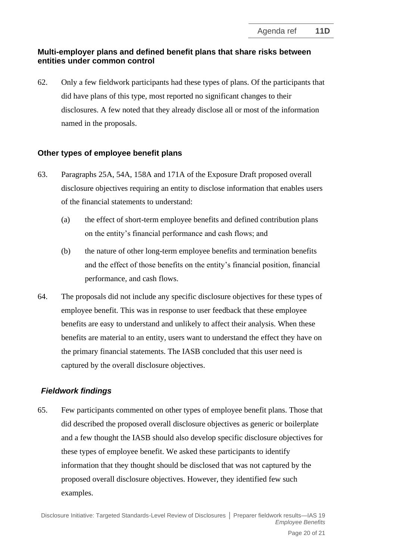# **Multi-employer plans and defined benefit plans that share risks between entities under common control**

<span id="page-19-0"></span>62. Only a few fieldwork participants had these types of plans. Of the participants that did have plans of this type, most reported no significant changes to their disclosures. A few noted that they already disclose all or most of the information named in the proposals.

# **Other types of employee benefit plans**

- <span id="page-19-1"></span>63. Paragraphs 25A, 54A, 158A and 171A of the Exposure Draft proposed overall disclosure objectives requiring an entity to disclose information that enables users of the financial statements to understand:
	- (a) the effect of short-term employee benefits and defined contribution plans on the entity's financial performance and cash flows; and
	- (b) the nature of other long-term employee benefits and termination benefits and the effect of those benefits on the entity's financial position, financial performance, and cash flows.
- 64. The proposals did not include any specific disclosure objectives for these types of employee benefit. This was in response to user feedback that these employee benefits are easy to understand and unlikely to affect their analysis. When these benefits are material to an entity, users want to understand the effect they have on the primary financial statements. The IASB concluded that this user need is captured by the overall disclosure objectives.

# *Fieldwork findings*

65. Few participants commented on other types of employee benefit plans. Those that did described the proposed overall disclosure objectives as generic or boilerplate and a few thought the IASB should also develop specific disclosure objectives for these types of employee benefit. We asked these participants to identify information that they thought should be disclosed that was not captured by the proposed overall disclosure objectives. However, they identified few such examples.